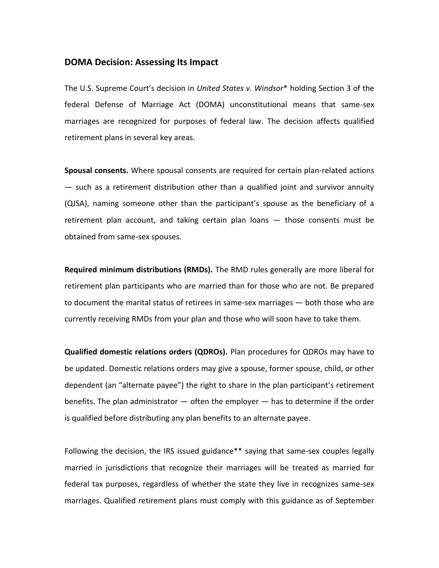## **DOMA Decision: Assessing Its Impact**

The U.S. Supreme Court's decision in *United States v. Windsor*\* holding Section 3 of the federal Defense of Marriage Act (DOMA) unconstitutional means that same-sex marriages are recognized for purposes of federal law. The decision affects qualified retirement plans in several key areas.

**Spousal consents.** Where spousal consents are required for certain plan-related actions — such as a retirement distribution other than a qualified joint and survivor annuity (QJSA), naming someone other than the participant's spouse as the beneficiary of a retirement plan account, and taking certain plan loans — those consents must be obtained from same-sex spouses.

**Required minimum distributions (RMDs).** The RMD rules generally are more liberal for retirement plan participants who are married than for those who are not. Be prepared to document the marital status of retirees in same-sex marriages — both those who are currently receiving RMDs from your plan and those who will soon have to take them.

**Qualified domestic relations orders (QDROs).** Plan procedures for QDROs may have to be updated. Domestic relations orders may give a spouse, former spouse, child, or other dependent (an "alternate payee") the right to share in the plan participant's retirement benefits. The plan administrator  $-$  often the employer  $-$  has to determine if the order is qualified before distributing any plan benefits to an alternate payee.

Following the decision, the IRS issued guidance\*\* saying that same-sex couples legally married in jurisdictions that recognize their marriages will be treated as married for federal tax purposes, regardless of whether the state they live in recognizes same-sex marriages. Qualified retirement plans must comply with this guidance as of September